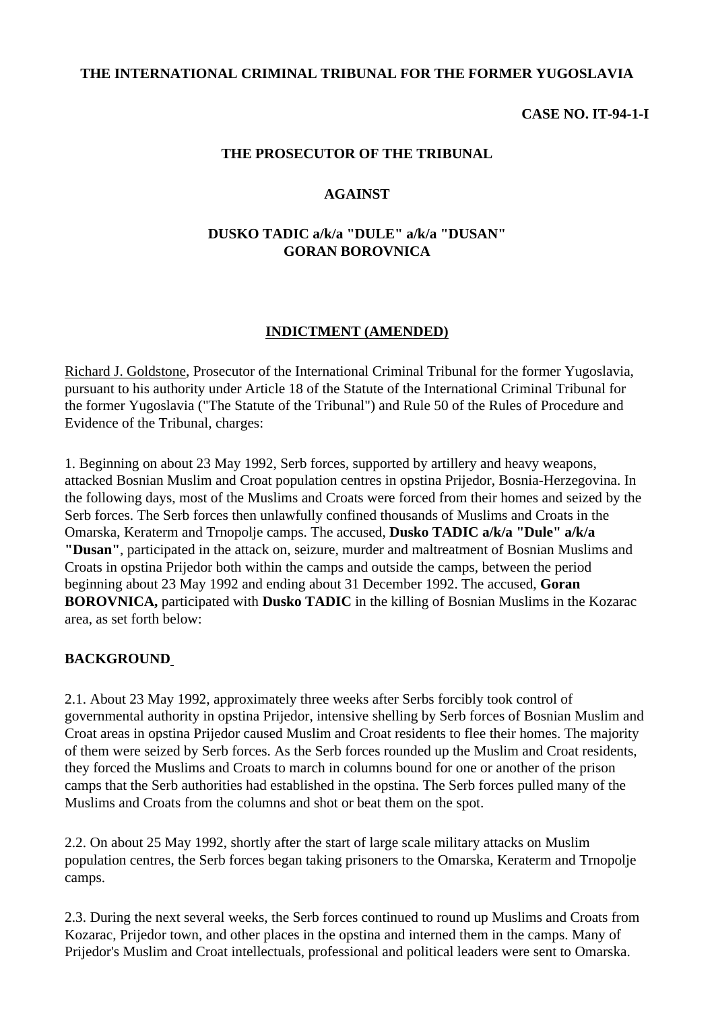### **THE INTERNATIONAL CRIMINAL TRIBUNAL FOR THE FORMER YUGOSLAVIA**

### **CASE NO. IT-94-1-I**

### **THE PROSECUTOR OF THE TRIBUNAL**

#### **AGAINST**

## **DUSKO TADIC a/k/a "DULE" a/k/a "DUSAN" GORAN BOROVNICA**

#### **INDICTMENT (AMENDED)**

Richard J. Goldstone, Prosecutor of the International Criminal Tribunal for the former Yugoslavia, pursuant to his authority under Article 18 of the Statute of the International Criminal Tribunal for the former Yugoslavia ("The Statute of the Tribunal") and Rule 50 of the Rules of Procedure and Evidence of the Tribunal, charges:

1. Beginning on about 23 May 1992, Serb forces, supported by artillery and heavy weapons, attacked Bosnian Muslim and Croat population centres in opstina Prijedor, Bosnia-Herzegovina. In the following days, most of the Muslims and Croats were forced from their homes and seized by the Serb forces. The Serb forces then unlawfully confined thousands of Muslims and Croats in the Omarska, Keraterm and Trnopolje camps. The accused, **Dusko TADIC a/k/a "Dule" a/k/a "Dusan"**, participated in the attack on, seizure, murder and maltreatment of Bosnian Muslims and Croats in opstina Prijedor both within the camps and outside the camps, between the period beginning about 23 May 1992 and ending about 31 December 1992. The accused, **Goran BOROVNICA,** participated with **Dusko TADIC** in the killing of Bosnian Muslims in the Kozarac area, as set forth below:

### **BACKGROUND**

2.1. About 23 May 1992, approximately three weeks after Serbs forcibly took control of governmental authority in opstina Prijedor, intensive shelling by Serb forces of Bosnian Muslim and Croat areas in opstina Prijedor caused Muslim and Croat residents to flee their homes. The majority of them were seized by Serb forces. As the Serb forces rounded up the Muslim and Croat residents, they forced the Muslims and Croats to march in columns bound for one or another of the prison camps that the Serb authorities had established in the opstina. The Serb forces pulled many of the Muslims and Croats from the columns and shot or beat them on the spot.

2.2. On about 25 May 1992, shortly after the start of large scale military attacks on Muslim population centres, the Serb forces began taking prisoners to the Omarska, Keraterm and Trnopolje camps.

2.3. During the next several weeks, the Serb forces continued to round up Muslims and Croats from Kozarac, Prijedor town, and other places in the opstina and interned them in the camps. Many of Prijedor's Muslim and Croat intellectuals, professional and political leaders were sent to Omarska.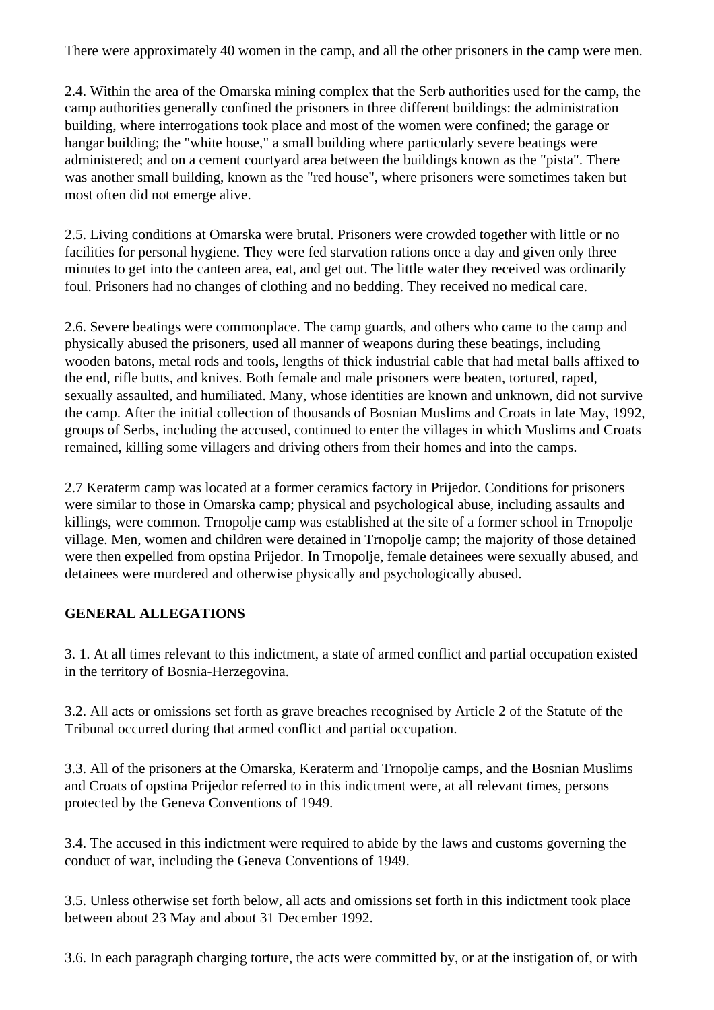There were approximately 40 women in the camp, and all the other prisoners in the camp were men.

2.4. Within the area of the Omarska mining complex that the Serb authorities used for the camp, the camp authorities generally confined the prisoners in three different buildings: the administration building, where interrogations took place and most of the women were confined; the garage or hangar building; the "white house," a small building where particularly severe beatings were administered; and on a cement courtyard area between the buildings known as the "pista". There was another small building, known as the "red house", where prisoners were sometimes taken but most often did not emerge alive.

2.5. Living conditions at Omarska were brutal. Prisoners were crowded together with little or no facilities for personal hygiene. They were fed starvation rations once a day and given only three minutes to get into the canteen area, eat, and get out. The little water they received was ordinarily foul. Prisoners had no changes of clothing and no bedding. They received no medical care.

2.6. Severe beatings were commonplace. The camp guards, and others who came to the camp and physically abused the prisoners, used all manner of weapons during these beatings, including wooden batons, metal rods and tools, lengths of thick industrial cable that had metal balls affixed to the end, rifle butts, and knives. Both female and male prisoners were beaten, tortured, raped, sexually assaulted, and humiliated. Many, whose identities are known and unknown, did not survive the camp. After the initial collection of thousands of Bosnian Muslims and Croats in late May, 1992, groups of Serbs, including the accused, continued to enter the villages in which Muslims and Croats remained, killing some villagers and driving others from their homes and into the camps.

2.7 Keraterm camp was located at a former ceramics factory in Prijedor. Conditions for prisoners were similar to those in Omarska camp; physical and psychological abuse, including assaults and killings, were common. Trnopolje camp was established at the site of a former school in Trnopolje village. Men, women and children were detained in Trnopolje camp; the majority of those detained were then expelled from opstina Prijedor. In Trnopolje, female detainees were sexually abused, and detainees were murdered and otherwise physically and psychologically abused.

## **GENERAL ALLEGATIONS**

3. 1. At all times relevant to this indictment, a state of armed conflict and partial occupation existed in the territory of Bosnia-Herzegovina.

3.2. All acts or omissions set forth as grave breaches recognised by Article 2 of the Statute of the Tribunal occurred during that armed conflict and partial occupation.

3.3. All of the prisoners at the Omarska, Keraterm and Trnopolje camps, and the Bosnian Muslims and Croats of opstina Prijedor referred to in this indictment were, at all relevant times, persons protected by the Geneva Conventions of 1949.

3.4. The accused in this indictment were required to abide by the laws and customs governing the conduct of war, including the Geneva Conventions of 1949.

3.5. Unless otherwise set forth below, all acts and omissions set forth in this indictment took place between about 23 May and about 31 December 1992.

3.6. In each paragraph charging torture, the acts were committed by, or at the instigation of, or with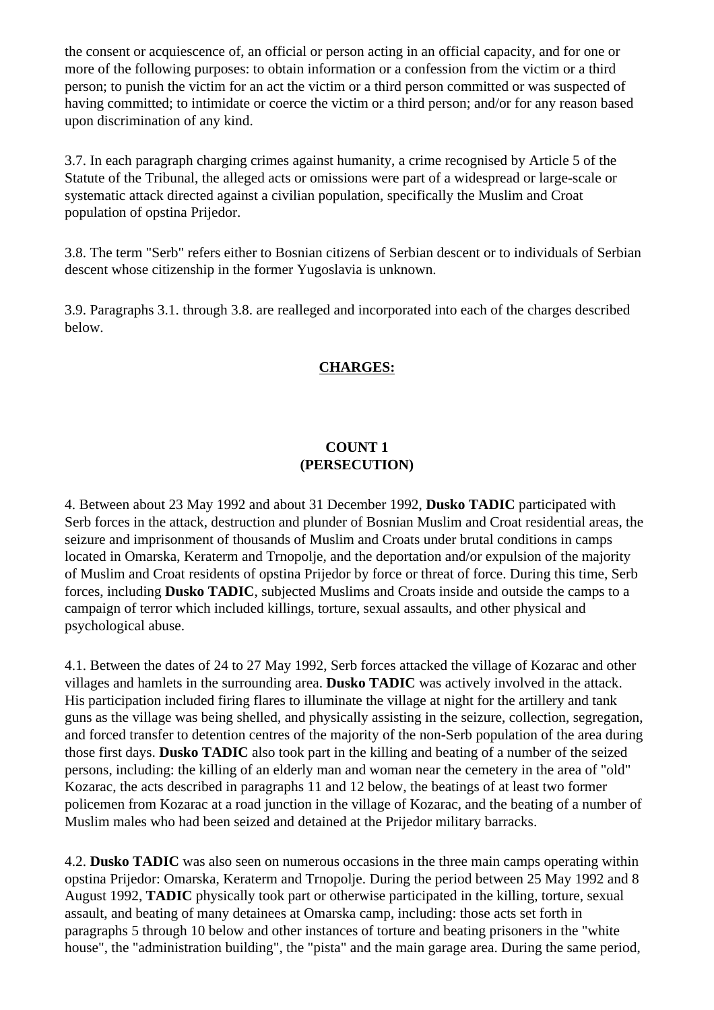the consent or acquiescence of, an official or person acting in an official capacity, and for one or more of the following purposes: to obtain information or a confession from the victim or a third person; to punish the victim for an act the victim or a third person committed or was suspected of having committed; to intimidate or coerce the victim or a third person; and/or for any reason based upon discrimination of any kind.

3.7. In each paragraph charging crimes against humanity, a crime recognised by Article 5 of the Statute of the Tribunal, the alleged acts or omissions were part of a widespread or large-scale or systematic attack directed against a civilian population, specifically the Muslim and Croat population of opstina Prijedor.

3.8. The term "Serb" refers either to Bosnian citizens of Serbian descent or to individuals of Serbian descent whose citizenship in the former Yugoslavia is unknown.

3.9. Paragraphs 3.1. through 3.8. are realleged and incorporated into each of the charges described below.

## **CHARGES:**

## **COUNT 1 (PERSECUTION)**

4. Between about 23 May 1992 and about 31 December 1992, **Dusko TADIC** participated with Serb forces in the attack, destruction and plunder of Bosnian Muslim and Croat residential areas, the seizure and imprisonment of thousands of Muslim and Croats under brutal conditions in camps located in Omarska, Keraterm and Trnopolje, and the deportation and/or expulsion of the majority of Muslim and Croat residents of opstina Prijedor by force or threat of force. During this time, Serb forces, including **Dusko TADIC**, subjected Muslims and Croats inside and outside the camps to a campaign of terror which included killings, torture, sexual assaults, and other physical and psychological abuse.

4.1. Between the dates of 24 to 27 May 1992, Serb forces attacked the village of Kozarac and other villages and hamlets in the surrounding area. **Dusko TADIC** was actively involved in the attack. His participation included firing flares to illuminate the village at night for the artillery and tank guns as the village was being shelled, and physically assisting in the seizure, collection, segregation, and forced transfer to detention centres of the majority of the non-Serb population of the area during those first days. **Dusko TADIC** also took part in the killing and beating of a number of the seized persons, including: the killing of an elderly man and woman near the cemetery in the area of "old" Kozarac, the acts described in paragraphs 11 and 12 below, the beatings of at least two former policemen from Kozarac at a road junction in the village of Kozarac, and the beating of a number of Muslim males who had been seized and detained at the Prijedor military barracks.

4.2. **Dusko TADIC** was also seen on numerous occasions in the three main camps operating within opstina Prijedor: Omarska, Keraterm and Trnopolje. During the period between 25 May 1992 and 8 August 1992, **TADIC** physically took part or otherwise participated in the killing, torture, sexual assault, and beating of many detainees at Omarska camp, including: those acts set forth in paragraphs 5 through 10 below and other instances of torture and beating prisoners in the "white house", the "administration building", the "pista" and the main garage area. During the same period,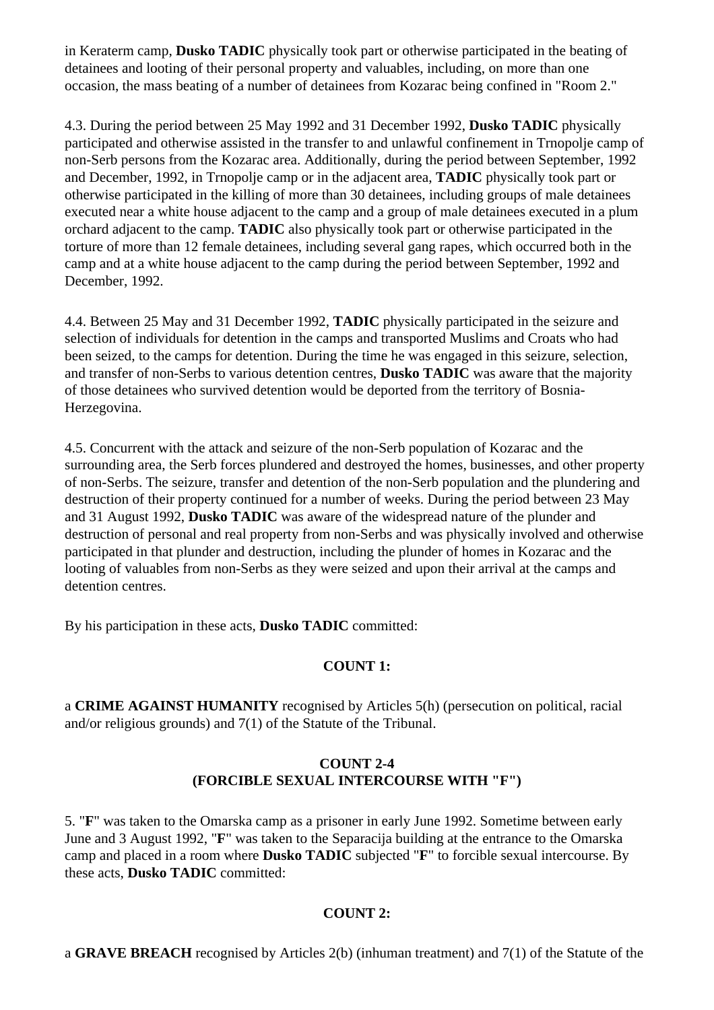in Keraterm camp, **Dusko TADIC** physically took part or otherwise participated in the beating of detainees and looting of their personal property and valuables, including, on more than one occasion, the mass beating of a number of detainees from Kozarac being confined in "Room 2."

4.3. During the period between 25 May 1992 and 31 December 1992, **Dusko TADIC** physically participated and otherwise assisted in the transfer to and unlawful confinement in Trnopolje camp of non-Serb persons from the Kozarac area. Additionally, during the period between September, 1992 and December, 1992, in Trnopolje camp or in the adjacent area, **TADIC** physically took part or otherwise participated in the killing of more than 30 detainees, including groups of male detainees executed near a white house adjacent to the camp and a group of male detainees executed in a plum orchard adjacent to the camp. **TADIC** also physically took part or otherwise participated in the torture of more than 12 female detainees, including several gang rapes, which occurred both in the camp and at a white house adjacent to the camp during the period between September, 1992 and December, 1992.

4.4. Between 25 May and 31 December 1992, **TADIC** physically participated in the seizure and selection of individuals for detention in the camps and transported Muslims and Croats who had been seized, to the camps for detention. During the time he was engaged in this seizure, selection, and transfer of non-Serbs to various detention centres, **Dusko TADIC** was aware that the majority of those detainees who survived detention would be deported from the territory of Bosnia-Herzegovina.

4.5. Concurrent with the attack and seizure of the non-Serb population of Kozarac and the surrounding area, the Serb forces plundered and destroyed the homes, businesses, and other property of non-Serbs. The seizure, transfer and detention of the non-Serb population and the plundering and destruction of their property continued for a number of weeks. During the period between 23 May and 31 August 1992, **Dusko TADIC** was aware of the widespread nature of the plunder and destruction of personal and real property from non-Serbs and was physically involved and otherwise participated in that plunder and destruction, including the plunder of homes in Kozarac and the looting of valuables from non-Serbs as they were seized and upon their arrival at the camps and detention centres.

By his participation in these acts, **Dusko TADIC** committed:

## **COUNT 1:**

a **CRIME AGAINST HUMANITY** recognised by Articles 5(h) (persecution on political, racial and/or religious grounds) and 7(1) of the Statute of the Tribunal.

# **COUNT 2-4 (FORCIBLE SEXUAL INTERCOURSE WITH "F")**

5. "**F**" was taken to the Omarska camp as a prisoner in early June 1992. Sometime between early June and 3 August 1992, "**F**" was taken to the Separacija building at the entrance to the Omarska camp and placed in a room where **Dusko TADIC** subjected "**F**" to forcible sexual intercourse. By these acts, **Dusko TADIC** committed:

## **COUNT 2:**

a **GRAVE BREACH** recognised by Articles 2(b) (inhuman treatment) and 7(1) of the Statute of the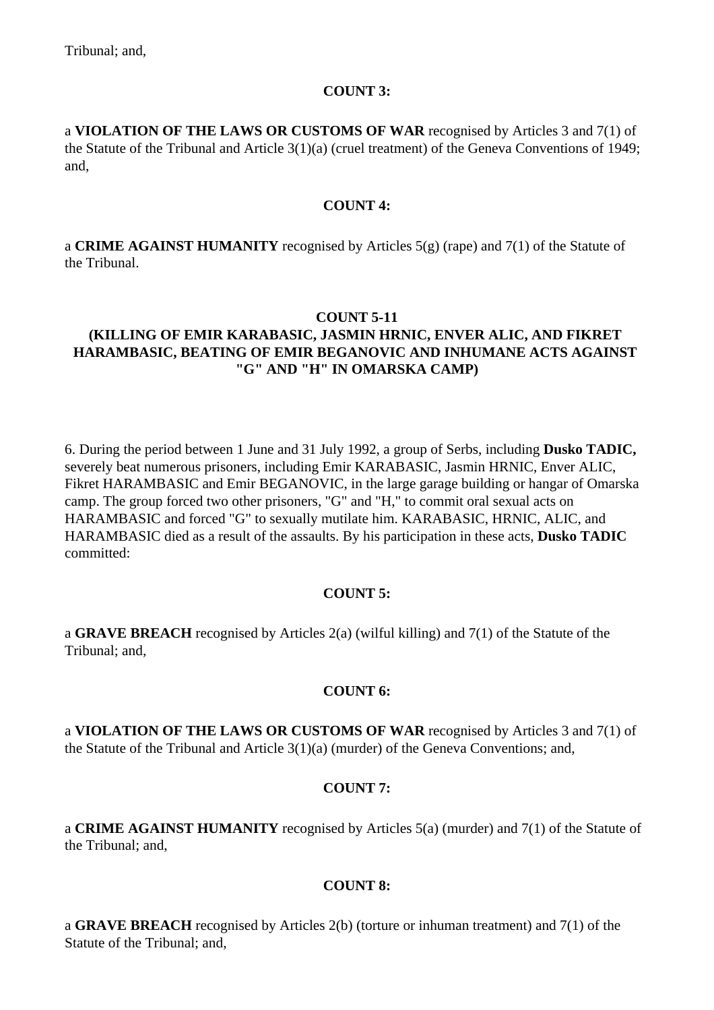## **COUNT 3:**

a **VIOLATION OF THE LAWS OR CUSTOMS OF WAR** recognised by Articles 3 and 7(1) of the Statute of the Tribunal and Article 3(1)(a) (cruel treatment) of the Geneva Conventions of 1949; and,

## **COUNT 4:**

a **CRIME AGAINST HUMANITY** recognised by Articles 5(g) (rape) and 7(1) of the Statute of the Tribunal.

## **COUNT 5-11**

# **(KILLING OF EMIR KARABASIC, JASMIN HRNIC, ENVER ALIC, AND FIKRET HARAMBASIC, BEATING OF EMIR BEGANOVIC AND INHUMANE ACTS AGAINST "G" AND "H" IN OMARSKA CAMP)**

6. During the period between 1 June and 31 July 1992, a group of Serbs, including **Dusko TADIC,**  severely beat numerous prisoners, including Emir KARABASIC, Jasmin HRNIC, Enver ALIC, Fikret HARAMBASIC and Emir BEGANOVIC, in the large garage building or hangar of Omarska camp. The group forced two other prisoners, "G" and "H," to commit oral sexual acts on HARAMBASIC and forced "G" to sexually mutilate him. KARABASIC, HRNIC, ALIC, and HARAMBASIC died as a result of the assaults. By his participation in these acts, **Dusko TADIC**  committed:

## **COUNT 5:**

a **GRAVE BREACH** recognised by Articles 2(a) (wilful killing) and 7(1) of the Statute of the Tribunal; and,

## **COUNT 6:**

a **VIOLATION OF THE LAWS OR CUSTOMS OF WAR** recognised by Articles 3 and 7(1) of the Statute of the Tribunal and Article 3(1)(a) (murder) of the Geneva Conventions; and,

## **COUNT 7:**

a **CRIME AGAINST HUMANITY** recognised by Articles 5(a) (murder) and 7(1) of the Statute of the Tribunal; and,

## **COUNT 8:**

a **GRAVE BREACH** recognised by Articles 2(b) (torture or inhuman treatment) and 7(1) of the Statute of the Tribunal; and,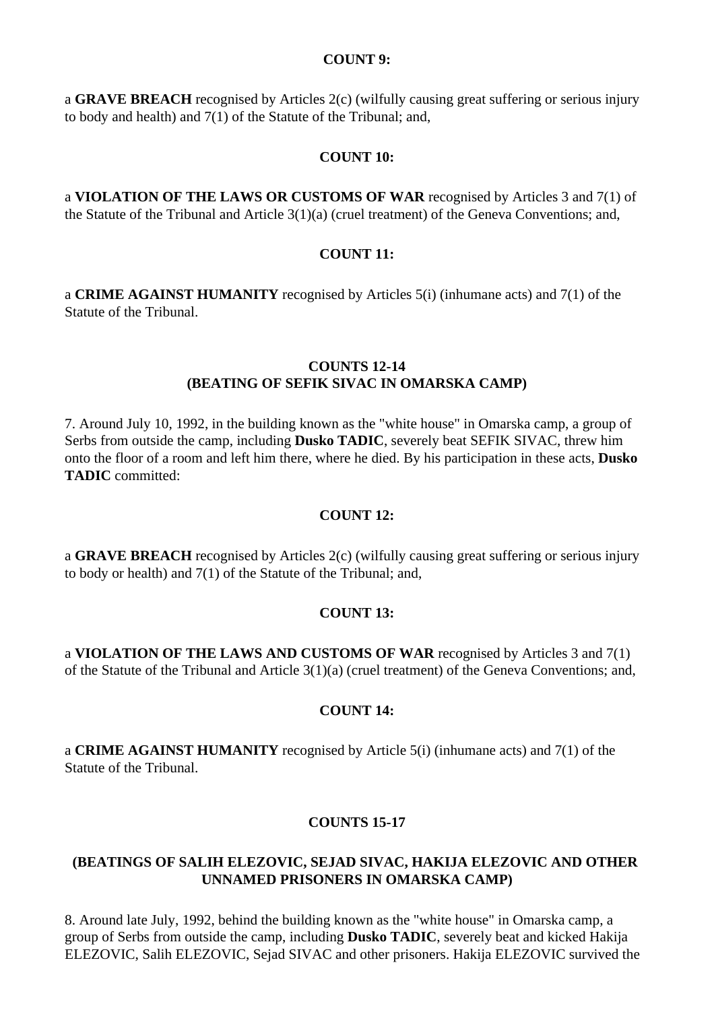#### **COUNT 9:**

a **GRAVE BREACH** recognised by Articles 2(c) (wilfully causing great suffering or serious injury to body and health) and 7(1) of the Statute of the Tribunal; and,

#### **COUNT 10:**

a **VIOLATION OF THE LAWS OR CUSTOMS OF WAR** recognised by Articles 3 and 7(1) of the Statute of the Tribunal and Article 3(1)(a) (cruel treatment) of the Geneva Conventions; and,

### **COUNT 11:**

a **CRIME AGAINST HUMANITY** recognised by Articles 5(i) (inhumane acts) and 7(1) of the Statute of the Tribunal.

### **COUNTS 12-14 (BEATING OF SEFIK SIVAC IN OMARSKA CAMP)**

7. Around July 10, 1992, in the building known as the "white house" in Omarska camp, a group of Serbs from outside the camp, including **Dusko TADIC**, severely beat SEFIK SIVAC, threw him onto the floor of a room and left him there, where he died. By his participation in these acts, **Dusko TADIC** committed:

#### **COUNT 12:**

a **GRAVE BREACH** recognised by Articles 2(c) (wilfully causing great suffering or serious injury to body or health) and 7(1) of the Statute of the Tribunal; and,

#### **COUNT 13:**

a **VIOLATION OF THE LAWS AND CUSTOMS OF WAR** recognised by Articles 3 and 7(1) of the Statute of the Tribunal and Article 3(1)(a) (cruel treatment) of the Geneva Conventions; and,

#### **COUNT 14:**

a **CRIME AGAINST HUMANITY** recognised by Article 5(i) (inhumane acts) and 7(1) of the Statute of the Tribunal.

#### **COUNTS 15-17**

### **(BEATINGS OF SALIH ELEZOVIC, SEJAD SIVAC, HAKIJA ELEZOVIC AND OTHER UNNAMED PRISONERS IN OMARSKA CAMP)**

8. Around late July, 1992, behind the building known as the "white house" in Omarska camp, a group of Serbs from outside the camp, including **Dusko TADIC**, severely beat and kicked Hakija ELEZOVIC, Salih ELEZOVIC, Sejad SIVAC and other prisoners. Hakija ELEZOVIC survived the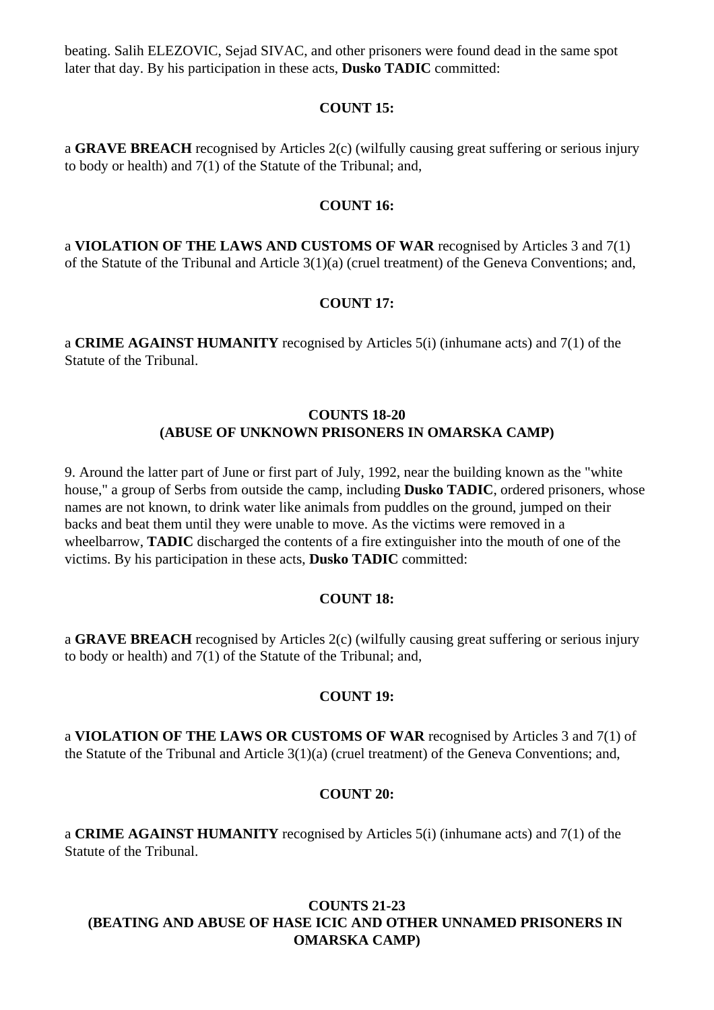beating. Salih ELEZOVIC, Sejad SIVAC, and other prisoners were found dead in the same spot later that day. By his participation in these acts, **Dusko TADIC** committed:

### **COUNT 15:**

a **GRAVE BREACH** recognised by Articles 2(c) (wilfully causing great suffering or serious injury to body or health) and 7(1) of the Statute of the Tribunal; and,

### **COUNT 16:**

a **VIOLATION OF THE LAWS AND CUSTOMS OF WAR** recognised by Articles 3 and 7(1) of the Statute of the Tribunal and Article 3(1)(a) (cruel treatment) of the Geneva Conventions; and,

## **COUNT 17:**

a **CRIME AGAINST HUMANITY** recognised by Articles 5(i) (inhumane acts) and 7(1) of the Statute of the Tribunal.

### **COUNTS 18-20 (ABUSE OF UNKNOWN PRISONERS IN OMARSKA CAMP)**

9. Around the latter part of June or first part of July, 1992, near the building known as the "white house," a group of Serbs from outside the camp, including **Dusko TADIC**, ordered prisoners, whose names are not known, to drink water like animals from puddles on the ground, jumped on their backs and beat them until they were unable to move. As the victims were removed in a wheelbarrow, **TADIC** discharged the contents of a fire extinguisher into the mouth of one of the victims. By his participation in these acts, **Dusko TADIC** committed:

## **COUNT 18:**

a **GRAVE BREACH** recognised by Articles 2(c) (wilfully causing great suffering or serious injury to body or health) and 7(1) of the Statute of the Tribunal; and,

### **COUNT 19:**

a **VIOLATION OF THE LAWS OR CUSTOMS OF WAR** recognised by Articles 3 and 7(1) of the Statute of the Tribunal and Article 3(1)(a) (cruel treatment) of the Geneva Conventions; and,

### **COUNT 20:**

a **CRIME AGAINST HUMANITY** recognised by Articles 5(i) (inhumane acts) and 7(1) of the Statute of the Tribunal.

## **COUNTS 21-23 (BEATING AND ABUSE OF HASE ICIC AND OTHER UNNAMED PRISONERS IN OMARSKA CAMP)**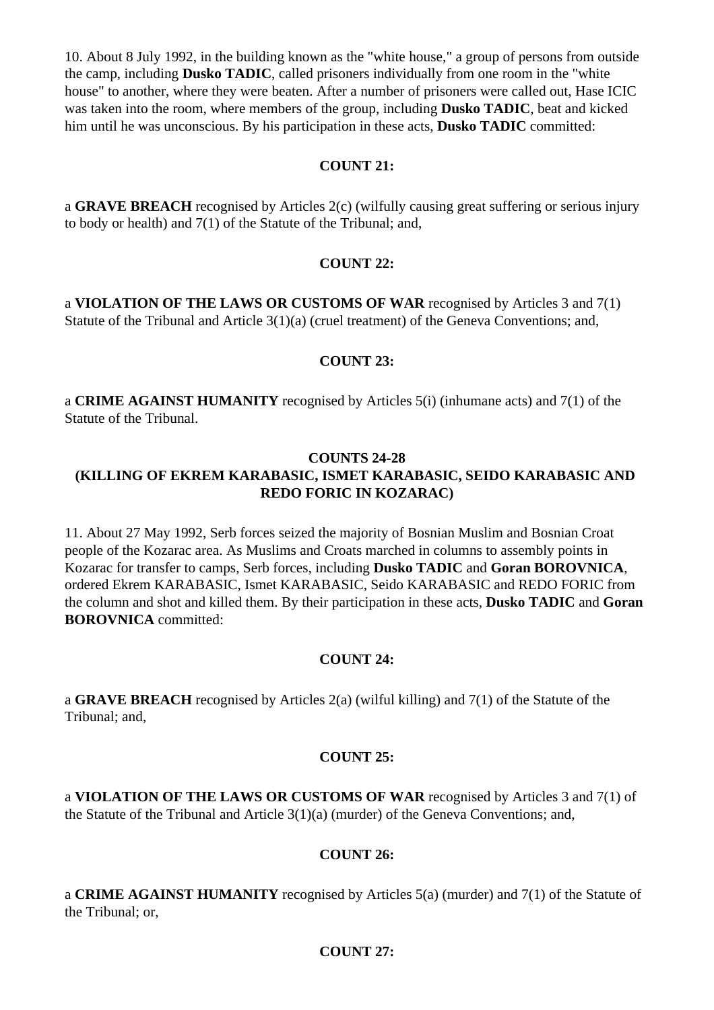10. About 8 July 1992, in the building known as the "white house," a group of persons from outside the camp, including **Dusko TADIC**, called prisoners individually from one room in the "white house" to another, where they were beaten. After a number of prisoners were called out, Hase ICIC was taken into the room, where members of the group, including **Dusko TADIC**, beat and kicked him until he was unconscious. By his participation in these acts, **Dusko TADIC** committed:

### **COUNT 21:**

a **GRAVE BREACH** recognised by Articles 2(c) (wilfully causing great suffering or serious injury to body or health) and 7(1) of the Statute of the Tribunal; and,

#### **COUNT 22:**

a **VIOLATION OF THE LAWS OR CUSTOMS OF WAR** recognised by Articles 3 and 7(1) Statute of the Tribunal and Article 3(1)(a) (cruel treatment) of the Geneva Conventions; and,

### **COUNT 23:**

a **CRIME AGAINST HUMANITY** recognised by Articles 5(i) (inhumane acts) and 7(1) of the Statute of the Tribunal.

### **COUNTS 24-28 (KILLING OF EKREM KARABASIC, ISMET KARABASIC, SEIDO KARABASIC AND REDO FORIC IN KOZARAC)**

11. About 27 May 1992, Serb forces seized the majority of Bosnian Muslim and Bosnian Croat people of the Kozarac area. As Muslims and Croats marched in columns to assembly points in Kozarac for transfer to camps, Serb forces, including **Dusko TADIC** and **Goran BOROVNICA**, ordered Ekrem KARABASIC, Ismet KARABASIC, Seido KARABASIC and REDO FORIC from the column and shot and killed them. By their participation in these acts, **Dusko TADIC** and **Goran BOROVNICA** committed:

#### **COUNT 24:**

a **GRAVE BREACH** recognised by Articles 2(a) (wilful killing) and 7(1) of the Statute of the Tribunal; and,

### **COUNT 25:**

a **VIOLATION OF THE LAWS OR CUSTOMS OF WAR** recognised by Articles 3 and 7(1) of the Statute of the Tribunal and Article 3(1)(a) (murder) of the Geneva Conventions; and,

#### **COUNT 26:**

a **CRIME AGAINST HUMANITY** recognised by Articles 5(a) (murder) and 7(1) of the Statute of the Tribunal; or,

#### **COUNT 27:**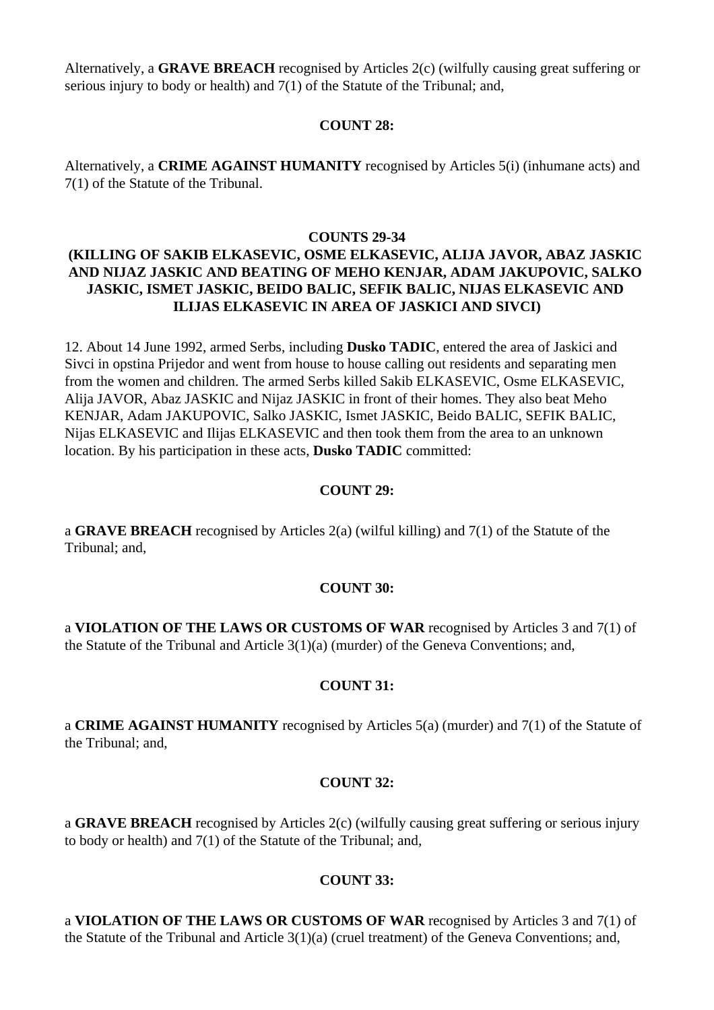Alternatively, a **GRAVE BREACH** recognised by Articles 2(c) (wilfully causing great suffering or serious injury to body or health) and 7(1) of the Statute of the Tribunal; and,

### **COUNT 28:**

Alternatively, a **CRIME AGAINST HUMANITY** recognised by Articles 5(i) (inhumane acts) and 7(1) of the Statute of the Tribunal.

### **COUNTS 29-34**

# **(KILLING OF SAKIB ELKASEVIC, OSME ELKASEVIC, ALIJA JAVOR, ABAZ JASKIC AND NIJAZ JASKIC AND BEATING OF MEHO KENJAR, ADAM JAKUPOVIC, SALKO JASKIC, ISMET JASKIC, BEIDO BALIC, SEFIK BALIC, NIJAS ELKASEVIC AND ILIJAS ELKASEVIC IN AREA OF JASKICI AND SIVCI)**

12. About 14 June 1992, armed Serbs, including **Dusko TADIC**, entered the area of Jaskici and Sivci in opstina Prijedor and went from house to house calling out residents and separating men from the women and children. The armed Serbs killed Sakib ELKASEVIC, Osme ELKASEVIC, Alija JAVOR, Abaz JASKIC and Nijaz JASKIC in front of their homes. They also beat Meho KENJAR, Adam JAKUPOVIC, Salko JASKIC, Ismet JASKIC, Beido BALIC, SEFIK BALIC, Nijas ELKASEVIC and Ilijas ELKASEVIC and then took them from the area to an unknown location. By his participation in these acts, **Dusko TADIC** committed:

### **COUNT 29:**

a **GRAVE BREACH** recognised by Articles 2(a) (wilful killing) and 7(1) of the Statute of the Tribunal; and,

### **COUNT 30:**

a **VIOLATION OF THE LAWS OR CUSTOMS OF WAR** recognised by Articles 3 and 7(1) of the Statute of the Tribunal and Article 3(1)(a) (murder) of the Geneva Conventions; and,

#### **COUNT 31:**

a **CRIME AGAINST HUMANITY** recognised by Articles 5(a) (murder) and 7(1) of the Statute of the Tribunal; and,

### **COUNT 32:**

a **GRAVE BREACH** recognised by Articles 2(c) (wilfully causing great suffering or serious injury to body or health) and 7(1) of the Statute of the Tribunal; and,

### **COUNT 33:**

a **VIOLATION OF THE LAWS OR CUSTOMS OF WAR** recognised by Articles 3 and 7(1) of the Statute of the Tribunal and Article 3(1)(a) (cruel treatment) of the Geneva Conventions; and,